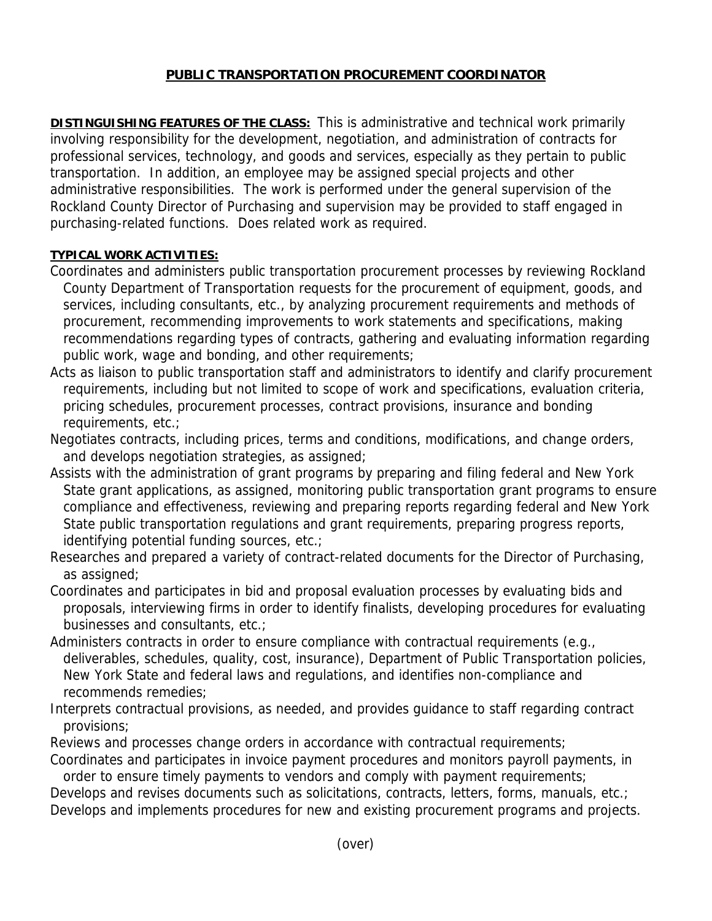## **PUBLIC TRANSPORTATION PROCUREMENT COORDINATOR**

**DISTINGUISHING FEATURES OF THE CLASS:** This is administrative and technical work primarily involving responsibility for the development, negotiation, and administration of contracts for professional services, technology, and goods and services, especially as they pertain to public transportation. In addition, an employee may be assigned special projects and other administrative responsibilities. The work is performed under the general supervision of the Rockland County Director of Purchasing and supervision may be provided to staff engaged in purchasing-related functions. Does related work as required.

## **TYPICAL WORK ACTIVITIES:**

- Coordinates and administers public transportation procurement processes by reviewing Rockland County Department of Transportation requests for the procurement of equipment, goods, and services, including consultants, etc., by analyzing procurement requirements and methods of procurement, recommending improvements to work statements and specifications, making recommendations regarding types of contracts, gathering and evaluating information regarding public work, wage and bonding, and other requirements;
- Acts as liaison to public transportation staff and administrators to identify and clarify procurement requirements, including but not limited to scope of work and specifications, evaluation criteria, pricing schedules, procurement processes, contract provisions, insurance and bonding requirements, etc.;
- Negotiates contracts, including prices, terms and conditions, modifications, and change orders, and develops negotiation strategies, as assigned;
- Assists with the administration of grant programs by preparing and filing federal and New York State grant applications, as assigned, monitoring public transportation grant programs to ensure compliance and effectiveness, reviewing and preparing reports regarding federal and New York State public transportation regulations and grant requirements, preparing progress reports, identifying potential funding sources, etc.;
- Researches and prepared a variety of contract-related documents for the Director of Purchasing, as assigned;
- Coordinates and participates in bid and proposal evaluation processes by evaluating bids and proposals, interviewing firms in order to identify finalists, developing procedures for evaluating businesses and consultants, etc.;
- Administers contracts in order to ensure compliance with contractual requirements (e.g., deliverables, schedules, quality, cost, insurance), Department of Public Transportation policies, New York State and federal laws and regulations, and identifies non-compliance and recommends remedies;
- Interprets contractual provisions, as needed, and provides guidance to staff regarding contract provisions;
- Reviews and processes change orders in accordance with contractual requirements;
- Coordinates and participates in invoice payment procedures and monitors payroll payments, in order to ensure timely payments to vendors and comply with payment requirements;

Develops and revises documents such as solicitations, contracts, letters, forms, manuals, etc.; Develops and implements procedures for new and existing procurement programs and projects.